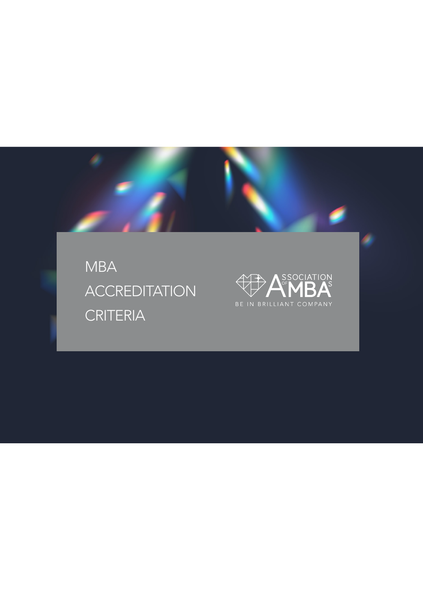MBA **ACCREDITATION** CRITERIA

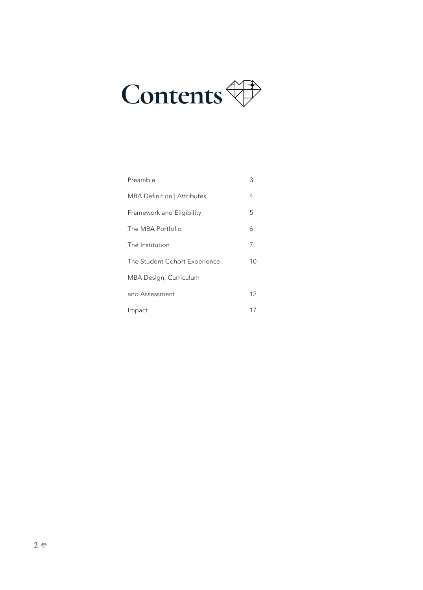# **Contents**

| Preamble                      | 3  |
|-------------------------------|----|
| MBA Definition   Attributes   | 4  |
| Framework and Eligibility     | 5  |
| The MBA Portfolio             | 6  |
| The Institution               | 7  |
| The Student Cohort Experience | 10 |
| MBA Design, Curriculum        |    |
| and Assessment                | 12 |
| Impact                        | 17 |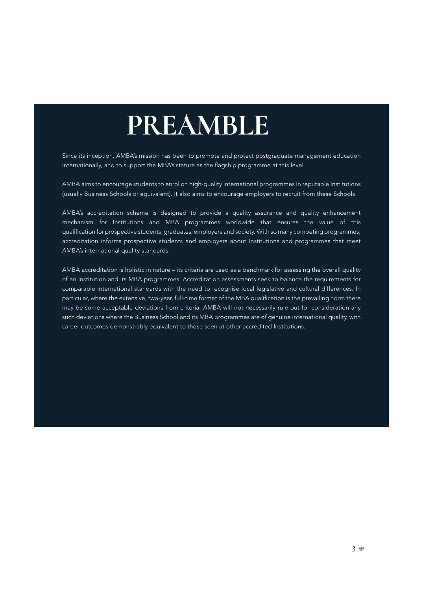## **PREAMBLE**

Since its inception, AMBA's mission has been to promote and protect postgraduate management education internationally, and to support the MBA's stature as the flagship programme at this level.

AMBA aims to encourage students to enrol on high-quality international programmes in reputable Institutions (usually Business Schools or equivalent). It also aims to encourage employers to recruit from these Schools.

AMBA's accreditation scheme is designed to provide a quality assurance and quality enhancement mechanism for Institutions and MBA programmes worldwide that ensures the value of this qualification for prospective students, graduates, employers and society. With so many competing programmes, accreditation informs prospective students and employers about Institutions and programmes that meet AMBA's international quality standards.

AMBA accreditation is holistic in nature – its criteria are used as a benchmark for assessing the overall quality of an Institution and its MBA programmes. Accreditation assessments seek to balance the requirements for comparable international standards with the need to recognise local legislative and cultural differences. In particular, where the extensive, two-year, full-time format of the MBA qualification is the prevailing norm there may be some acceptable deviations from criteria. AMBA will not necessarily rule out for consideration any such deviations where the Business School and its MBA programmes are of genuine international quality, with career outcomes demonstrably equivalent to those seen at other accredited Institutions.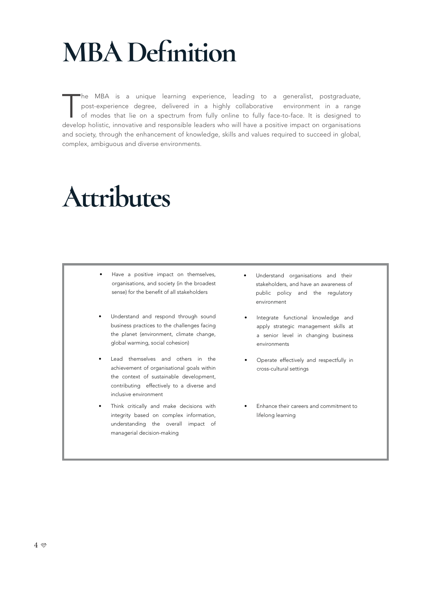## **MBA Definition**

The MBA is a unique learning experience, leading to a generalist, postgraduate, post-experience degree, delivered in a highly collaborative environment in a range of modes that lie on a spectrum from fully online to fully post-experience degree, delivered in a highly collaborative environment in a range of modes that lie on a spectrum from fully online to fully face-to-face. It is designed to develop holistic, innovative and responsible leaders who will have a positive impact on organisations and society, through the enhancement of knowledge, skills and values required to succeed in global, complex, ambiguous and diverse environments.

## **Attributes**

- Have a positive impact on themselves, organisations, and society (in the broadest sense) for the benefit of all stakeholders
- Understand and respond through sound business practices to the challenges facing the planet (environment, climate change, global warming, social cohesion)
- Lead themselves and others in the achievement of organisational goals within the context of sustainable development, contributing effectively to a diverse and inclusive environment
- Think critically and make decisions with integrity based on complex information, understanding the overall impact of managerial decision-making
- Understand organisations and their stakeholders, and have an awareness of public policy and the regulatory environment
- Integrate functional knowledge and apply strategic management skills at a senior level in changing business environments
- Operate effectively and respectfully in cross-cultural settings
- Enhance their careers and commitment to lifelong learning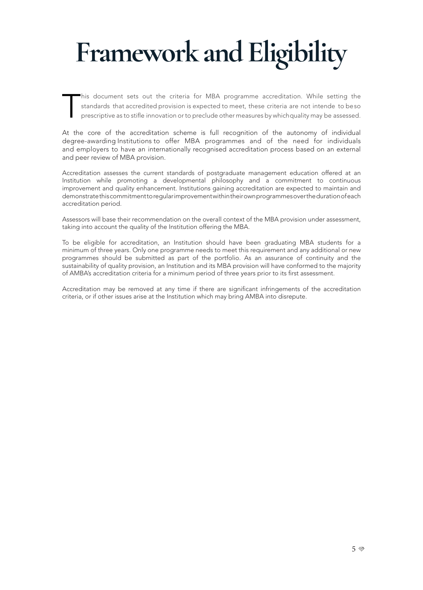# **Framework and Eligibility**

his document sets out the criteria for MBA programme accreditation. While setting the standards that accredited provision is expected to meet, these criteria are not intende to be so prescriptive as to stifle innovation or to preclude other measures by which quality may be assessed.

At the core of the accreditation scheme is full recognition of the autonomy of individual degree-awarding Institutions to offer MBA programmes and of the need for individuals and employers to have an internationally recognised accreditation process based on an external and peer review of MBA provision.

Accreditation assesses the current standards of postgraduate management education offered at an Institution while promoting a developmental philosophy and a commitment to continuous improvement and quality enhancement. Institutions gaining accreditation are expected to maintain and demonstrate this commitment to regular improvement within their own programmes over the duration of each accreditation period.

Assessors will base their recommendation on the overall context of the MBA provision under assessment, taking into account the quality of the Institution offering the MBA.

To be eligible for accreditation, an Institution should have been graduating MBA students for a minimum of three years. Only one programme needs to meet this requirement and any additional or new programmes should be submitted as part of the portfolio. As an assurance of continuity and the sustainability of quality provision, an Institution and its MBA provision will have conformed to the majority of AMBA's accreditation criteria for a minimum period of three years prior to its first assessment.

Accreditation may be removed at any time if there are significant infringements of the accreditation criteria, or if other issues arise at the Institution which may bring AMBA into disrepute.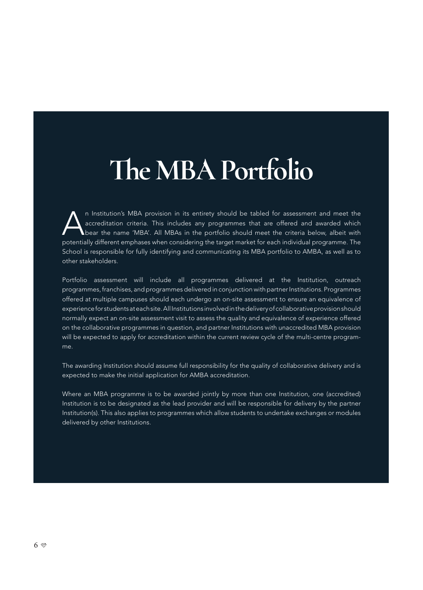## **The MBA Portfolio**

In Institution's MBA provision in its entirety should be tabled for assessment and meet the accreditation criteria. This includes any programmes that are offered and awarded which bear the name 'MBA'. All MBAs in the portf accreditation criteria. This includes any programmes that are offered and awarded which bear the name 'MBA'. All MBAs in the portfolio should meet the criteria below, albeit with potentially different emphases when considering the target market for each individual programme. The School is responsible for fully identifying and communicating its MBA portfolio to AMBA, as well as to other stakeholders.

Portfolio assessment will include all programmes delivered at the Institution, outreach programmes, franchises, and programmes delivered in conjunction with partner Institutions. Programmes offered at multiple campuses should each undergo an on-site assessment to ensure an equivalence of experience for students at each site. All Institutions involved in the delivery of collaborative provision should normally expect an on-site assessment visit to assess the quality and equivalence of experience offered on the collaborative programmes in question, and partner Institutions with unaccredited MBA provision will be expected to apply for accreditation within the current review cycle of the multi-centre programme.

The awarding Institution should assume full responsibility for the quality of collaborative delivery and is expected to make the initial application for AMBA accreditation.

Where an MBA programme is to be awarded jointly by more than one Institution, one (accredited) Institution is to be designated as the lead provider and will be responsible for delivery by the partner Institution(s). This also applies to programmes which allow students to undertake exchanges or modules delivered by other Institutions.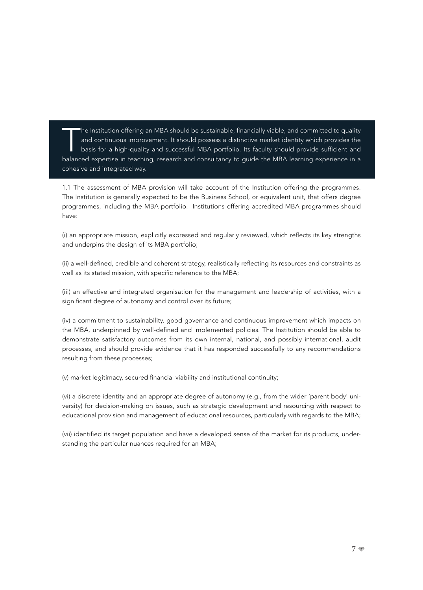The Institution offering an MBA should be sustainable, financially viable, and committed to quality and continuous improvement. It should possess a distinctive market identity which provides the basis for a high-quality and successful MBA portfolio. Its faculty should provide sufficient and balanced expertise in teaching, research and consultancy to guide the MBA learning experience in a cohesive and integrated way.

1.1 The assessment of MBA provision will take account of the Institution offering the programmes. The Institution is generally expected to be the Business School, or equivalent unit, that offers degree programmes, including the MBA portfolio. Institutions offering accredited MBA programmes should have:

(i) an appropriate mission, explicitly expressed and regularly reviewed, which reflects its key strengths and underpins the design of its MBA portfolio;

(ii) a well-defined, credible and coherent strategy, realistically reflecting its resources and constraints as well as its stated mission, with specific reference to the MBA;

(iii) an effective and integrated organisation for the management and leadership of activities, with a significant degree of autonomy and control over its future;

(iv) a commitment to sustainability, good governance and continuous improvement which impacts on the MBA, underpinned by well-defined and implemented policies. The Institution should be able to demonstrate satisfactory outcomes from its own internal, national, and possibly international, audit processes, and should provide evidence that it has responded successfully to any recommendations resulting from these processes;

(v) market legitimacy, secured financial viability and institutional continuity;

(vi) a discrete identity and an appropriate degree of autonomy (e.g., from the wider 'parent body' university) for decision-making on issues, such as strategic development and resourcing with respect to educational provision and management of educational resources, particularly with regards to the MBA;

(vii) identified its target population and have a developed sense of the market for its products, understanding the particular nuances required for an MBA;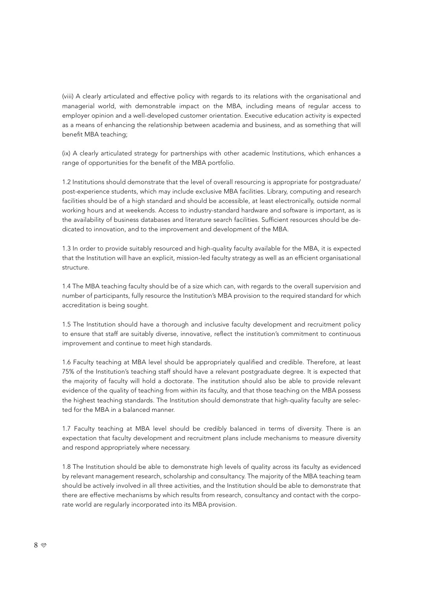(viii) A clearly articulated and effective policy with regards to its relations with the organisational and managerial world, with demonstrable impact on the MBA, including means of regular access to employer opinion and a well-developed customer orientation. Executive education activity is expected as a means of enhancing the relationship between academia and business, and as something that will benefit MBA teaching;

(ix) A clearly articulated strategy for partnerships with other academic Institutions, which enhances a range of opportunities for the benefit of the MBA portfolio.

1.2 Institutions should demonstrate that the level of overall resourcing is appropriate for postgraduate/ post-experience students, which may include exclusive MBA facilities. Library, computing and research facilities should be of a high standard and should be accessible, at least electronically, outside normal working hours and at weekends. Access to industry-standard hardware and software is important, as is the availability of business databases and literature search facilities. Sufficient resources should be dedicated to innovation, and to the improvement and development of the MBA.

1.3 In order to provide suitably resourced and high-quality faculty available for the MBA, it is expected that the Institution will have an explicit, mission-led faculty strategy as well as an efficient organisational structure.

1.4 The MBA teaching faculty should be of a size which can, with regards to the overall supervision and number of participants, fully resource the Institution's MBA provision to the required standard for which accreditation is being sought.

1.5 The Institution should have a thorough and inclusive faculty development and recruitment policy to ensure that staff are suitably diverse, innovative, reflect the institution's commitment to continuous improvement and continue to meet high standards.

1.6 Faculty teaching at MBA level should be appropriately qualified and credible. Therefore, at least 75% of the Institution's teaching staff should have a relevant postgraduate degree. It is expected that the majority of faculty will hold a doctorate. The institution should also be able to provide relevant evidence of the quality of teaching from within its faculty, and that those teaching on the MBA possess the highest teaching standards. The Institution should demonstrate that high-quality faculty are selected for the MBA in a balanced manner.

1.7 Faculty teaching at MBA level should be credibly balanced in terms of diversity. There is an expectation that faculty development and recruitment plans include mechanisms to measure diversity and respond appropriately where necessary.

1.8 The Institution should be able to demonstrate high levels of quality across its faculty as evidenced by relevant management research, scholarship and consultancy. The majority of the MBA teaching team should be actively involved in all three activities, and the Institution should be able to demonstrate that there are effective mechanisms by which results from research, consultancy and contact with the corporate world are regularly incorporated into its MBA provision.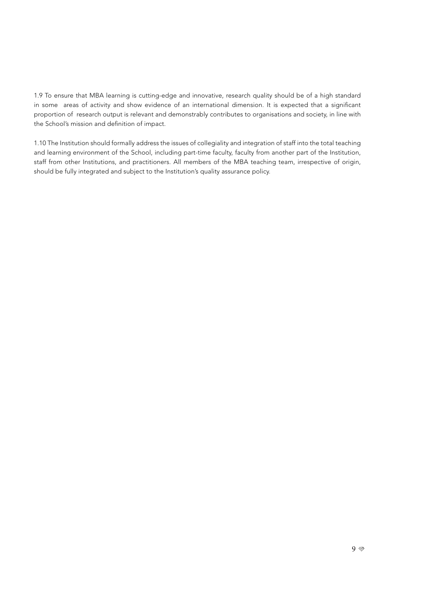1.9 To ensure that MBA learning is cutting-edge and innovative, research quality should be of a high standard in some areas of activity and show evidence of an international dimension. It is expected that a significant proportion of research output is relevant and demonstrably contributes to organisations and society, in line with the School's mission and definition of impact.

1.10 The Institution should formally address the issues of collegiality and integration of staff into the total teaching and learning environment of the School, including part-time faculty, faculty from another part of the Institution, staff from other Institutions, and practitioners. All members of the MBA teaching team, irrespective of origin, should be fully integrated and subject to the Institution's quality assurance policy.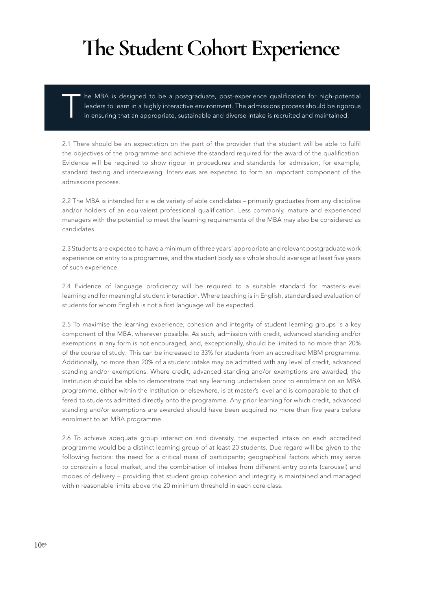#### **The Student Cohort Experience**

he MBA is designed to be a postgraduate, post-experience qualification for high-potential leaders to learn in a highly interactive environment. The admissions process should be rigorous in ensuring that an appropriate, sustainable and diverse intake is recruited and maintained.

2.1 There should be an expectation on the part of the provider that the student will be able to fulfil the objectives of the programme and achieve the standard required for the award of the qualification. Evidence will be required to show rigour in procedures and standards for admission, for example, standard testing and interviewing. Interviews are expected to form an important component of the admissions process.

2.2 The MBA is intended for a wide variety of able candidates – primarily graduates from any discipline and/or holders of an equivalent professional qualification. Less commonly, mature and experienced managers with the potential to meet the learning requirements of the MBA may also be considered as candidates.

2.3 Students are expected to have a minimum of three years' appropriate and relevant postgraduate work experience on entry to a programme, and the student body as a whole should average at least five years of such experience.

2.4 Evidence of language proficiency will be required to a suitable standard for master's-level learning and for meaningful student interaction. Where teaching is in English, standardised evaluation of students for whom English is not a first language will be expected.

2.5 To maximise the learning experience, cohesion and integrity of student learning groups is a key component of the MBA, wherever possible. As such, admission with credit, advanced standing and/or exemptions in any form is not encouraged, and, exceptionally, should be limited to no more than 20% of the course of study. This can be increased to 33% for students from an accredited MBM programme. Additionally, no more than 20% of a student intake may be admitted with any level of credit, advanced standing and/or exemptions. Where credit, advanced standing and/or exemptions are awarded, the Institution should be able to demonstrate that any learning undertaken prior to enrolment on an MBA programme, either within the Institution or elsewhere, is at master's level and is comparable to that offered to students admitted directly onto the programme. Any prior learning for which credit, advanced standing and/or exemptions are awarded should have been acquired no more than five years before enrolment to an MBA programme.

2.6 To achieve adequate group interaction and diversity, the expected intake on each accredited programme would be a distinct learning group of at least 20 students. Due regard will be given to the following factors: the need for a critical mass of participants; geographical factors which may serve to constrain a local market; and the combination of intakes from different entry points (carousel) and modes of delivery – providing that student group cohesion and integrity is maintained and managed within reasonable limits above the 20 minimum threshold in each core class.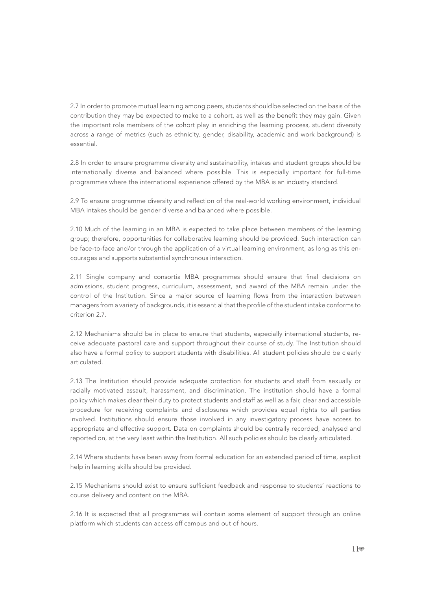2.7 In order to promote mutual learning among peers, students should be selected on the basis of the contribution they may be expected to make to a cohort, as well as the benefit they may gain. Given the important role members of the cohort play in enriching the learning process, student diversity across a range of metrics (such as ethnicity, gender, disability, academic and work background) is essential.

2.8 In order to ensure programme diversity and sustainability, intakes and student groups should be internationally diverse and balanced where possible. This is especially important for full-time programmes where the international experience offered by the MBA is an industry standard.

2.9 To ensure programme diversity and reflection of the real-world working environment, individual MBA intakes should be gender diverse and balanced where possible.

2.10 Much of the learning in an MBA is expected to take place between members of the learning group; therefore, opportunities for collaborative learning should be provided. Such interaction can be face-to-face and/or through the application of a virtual learning environment, as long as this encourages and supports substantial synchronous interaction.

2.11 Single company and consortia MBA programmes should ensure that final decisions on admissions, student progress, curriculum, assessment, and award of the MBA remain under the control of the Institution. Since a major source of learning flows from the interaction between managers from a variety of backgrounds, it is essential that the profile of the student intake conforms to criterion 2.7.

2.12 Mechanisms should be in place to ensure that students, especially international students, receive adequate pastoral care and support throughout their course of study. The Institution should also have a formal policy to support students with disabilities. All student policies should be clearly articulated.

2.13 The Institution should provide adequate protection for students and staff from sexually or racially motivated assault, harassment, and discrimination. The institution should have a formal policy which makes clear their duty to protect students and staff as well as a fair, clear and accessible procedure for receiving complaints and disclosures which provides equal rights to all parties involved. Institutions should ensure those involved in any investigatory process have access to appropriate and effective support. Data on complaints should be centrally recorded, analysed and reported on, at the very least within the Institution. All such policies should be clearly articulated.

2.14 Where students have been away from formal education for an extended period of time, explicit help in learning skills should be provided.

2.15 Mechanisms should exist to ensure sufficient feedback and response to students' reactions to course delivery and content on the MBA.

2.16 It is expected that all programmes will contain some element of support through an online platform which students can access off campus and out of hours.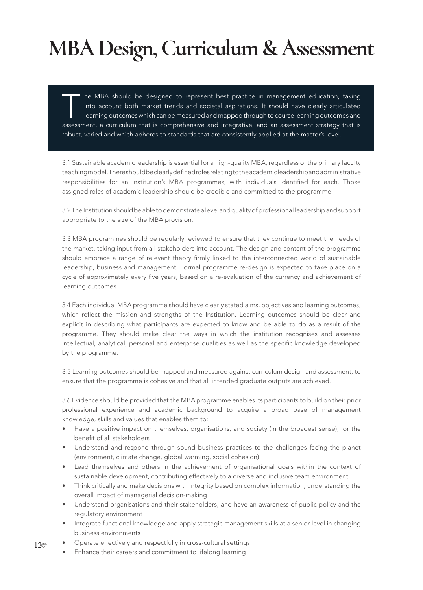### **MBA Design, Curriculum & Assessment**

The MBA should be designed to represent best practice in management education, taking<br>into account both market trends and societal aspirations. It should have clearly articulated<br>learning outcomes which can be measured and into account both market trends and societal aspirations. It should have clearly articulated learning outcomes which can be measured and mapped through to course learning outcomes and assessment, a curriculum that is comprehensive and integrative, and an assessment strategy that is robust, varied and which adheres to standards that are consistently applied at the master's level.

3.1 Sustainable academic leadership is essential for a high-quality MBA, regardless of the primary faculty teaching model. There should be clearly defined roles relating to the academic leadership and administrative responsibilities for an Institution's MBA programmes, with individuals identified for each. Those assigned roles of academic leadership should be credible and committed to the programme.

3.2 The Institution should be able to demonstrate a level and quality of professional leadership and support appropriate to the size of the MBA provision.

3.3 MBA programmes should be regularly reviewed to ensure that they continue to meet the needs of the market, taking input from all stakeholders into account. The design and content of the programme should embrace a range of relevant theory firmly linked to the interconnected world of sustainable leadership, business and management. Formal programme re-design is expected to take place on a cycle of approximately every five years, based on a re-evaluation of the currency and achievement of learning outcomes.

3.4 Each individual MBA programme should have clearly stated aims, objectives and learning outcomes, which reflect the mission and strengths of the Institution. Learning outcomes should be clear and explicit in describing what participants are expected to know and be able to do as a result of the programme. They should make clear the ways in which the institution recognises and assesses intellectual, analytical, personal and enterprise qualities as well as the specific knowledge developed by the programme.

3.5 Learning outcomes should be mapped and measured against curriculum design and assessment, to ensure that the programme is cohesive and that all intended graduate outputs are achieved.

3.6 Evidence should be provided that the MBA programme enables its participants to build on their prior professional experience and academic background to acquire a broad base of management knowledge, skills and values that enables them to:

- Have a positive impact on themselves, organisations, and society (in the broadest sense), for the benefit of all stakeholders
- Understand and respond through sound business practices to the challenges facing the planet (environment, climate change, global warming, social cohesion)
- Lead themselves and others in the achievement of organisational goals within the context of sustainable development, contributing effectively to a diverse and inclusive team environment
- Think critically and make decisions with integrity based on complex information, understanding the overall impact of managerial decision-making
- Understand organisations and their stakeholders, and have an awareness of public policy and the regulatory environment
- Integrate functional knowledge and apply strategic management skills at a senior level in changing business environments
- 12 • Operate effectively and respectfully in cross-cultural settings
	- Enhance their careers and commitment to lifelong learning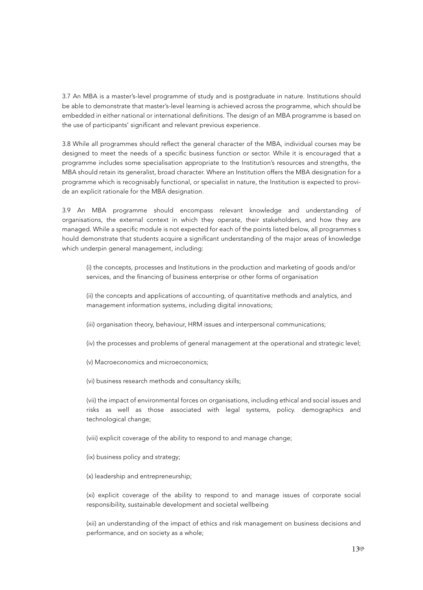3.7 An MBA is a master's-level programme of study and is postgraduate in nature. Institutions should be able to demonstrate that master's-level learning is achieved across the programme, which should be embedded in either national or international definitions. The design of an MBA programme is based on the use of participants' significant and relevant previous experience.

3.8 While all programmes should reflect the general character of the MBA, individual courses may be designed to meet the needs of a specific business function or sector. While it is encouraged that a programme includes some specialisation appropriate to the Institution's resources and strengths, the MBA should retain its generalist, broad character. Where an Institution offers the MBA designation for a programme which is recognisably functional, or specialist in nature, the Institution is expected to provide an explicit rationale for the MBA designation.

3.9 An MBA programme should encompass relevant knowledge and understanding of organisations, the external context in which they operate, their stakeholders, and how they are managed. While a specific module is not expected for each of the points listed below, all programmes s hould demonstrate that students acquire a significant understanding of the major areas of knowledge which underpin general management, including:

(i) the concepts, processes and Institutions in the production and marketing of goods and/or services, and the financing of business enterprise or other forms of organisation

(ii) the concepts and applications of accounting, of quantitative methods and analytics, and management information systems, including digital innovations;

(iii) organisation theory, behaviour, HRM issues and interpersonal communications;

(iv) the processes and problems of general management at the operational and strategic level;

(v) Macroeconomics and microeconomics;

(vi) business research methods and consultancy skills;

(vii) the impact of environmental forces on organisations, including ethical and social issues and risks as well as those associated with legal systems, policy. demographics and technological change;

(viii) explicit coverage of the ability to respond to and manage change;

(ix) business policy and strategy;

(x) leadership and entrepreneurship;

(xi) explicit coverage of the ability to respond to and manage issues of corporate social responsibility, sustainable development and societal wellbeing

(xii) an understanding of the impact of ethics and risk management on business decisions and performance, and on society as a whole;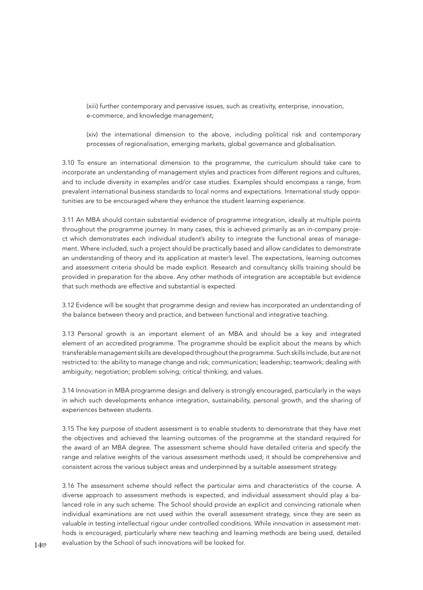(xiii) further contemporary and pervasive issues, such as creativity, enterprise, innovation, e-commerce, and knowledge management;

(xiv) the international dimension to the above, including political risk and contemporary processes of regionalisation, emerging markets, global governance and globalisation.

3.10 To ensure an international dimension to the programme, the curriculum should take care to incorporate an understanding of management styles and practices from different regions and cultures, and to include diversity in examples and/or case studies. Examples should encompass a range, from prevalent international business standards to local norms and expectations. International study opportunities are to be encouraged where they enhance the student learning experience.

3.11 An MBA should contain substantial evidence of programme integration, ideally at multiple points throughout the programme journey. In many cases, this is achieved primarily as an in-company project which demonstrates each individual student's ability to integrate the functional areas of management. Where included, such a project should be practically based and allow candidates to demonstrate an understanding of theory and its application at master's level. The expectations, learning outcomes and assessment criteria should be made explicit. Research and consultancy skills training should be provided in preparation for the above. Any other methods of integration are acceptable but evidence that such methods are effective and substantial is expected.

3.12 Evidence will be sought that programme design and review has incorporated an understanding of the balance between theory and practice, and between functional and integrative teaching.

3.13 Personal growth is an important element of an MBA and should be a key and integrated element of an accredited programme. The programme should be explicit about the means by which transferable management skills are developed throughout the programme. Such skills include, but are not restricted to: the ability to manage change and risk; communication; leadership; teamwork; dealing with ambiguity; negotiation; problem solving; critical thinking; and values.

3.14 Innovation in MBA programme design and delivery is strongly encouraged, particularly in the ways in which such developments enhance integration, sustainability, personal growth, and the sharing of experiences between students.

3.15 The key purpose of student assessment is to enable students to demonstrate that they have met the objectives and achieved the learning outcomes of the programme at the standard required for the award of an MBA degree. The assessment scheme should have detailed criteria and specify the range and relative weights of the various assessment methods used; it should be comprehensive and consistent across the various subject areas and underpinned by a suitable assessment strategy.

3.16 The assessment scheme should reflect the particular aims and characteristics of the course. A diverse approach to assessment methods is expected, and individual assessment should play a balanced role in any such scheme. The School should provide an explicit and convincing rationale when individual examinations are not used within the overall assessment strategy, since they are seen as valuable in testing intellectual rigour under controlled conditions. While innovation in assessment methods is encouraged, particularly where new teaching and learning methods are being used, detailed evaluation by the School of such innovations will be looked for.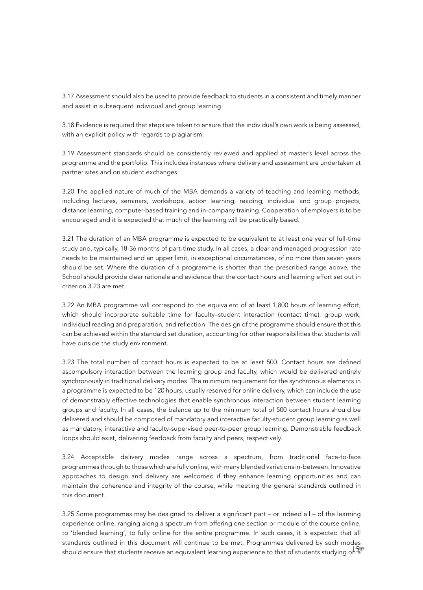3.17 Assessment should also be used to provide feedback to students in a consistent and timely manner and assist in subsequent individual and group learning.

3.18 Evidence is required that steps are taken to ensure that the individual's own work is being assessed, with an explicit policy with regards to plagiarism.

3.19 Assessment standards should be consistently reviewed and applied at master's level across the programme and the portfolio. This includes instances where delivery and assessment are undertaken at partner sites and on student exchanges.

3.20 The applied nature of much of the MBA demands a variety of teaching and learning methods, including lectures, seminars, workshops, action learning, reading, individual and group projects, distance learning, computer-based training and in-company training. Cooperation of employers is to be encouraged and it is expected that much of the learning will be practically based.

3.21 The duration of an MBA programme is expected to be equivalent to at least one year of full-time study and, typically, 18-36 months of part-time study. In all cases, a clear and managed progression rate needs to be maintained and an upper limit, in exceptional circumstances, of no more than seven years should be set. Where the duration of a programme is shorter than the prescribed range above, the School should provide clear rationale and evidence that the contact hours and learning effort set out in criterion 3.23 are met.

3.22 An MBA programme will correspond to the equivalent of at least 1,800 hours of learning effort, which should incorporate suitable time for faculty–student interaction (contact time), group work, individual reading and preparation, and reflection. The design of the programme should ensure that this can be achieved within the standard set duration, accounting for other responsibilities that students will have outside the study environment.

3.23 The total number of contact hours is expected to be at least 500. Contact hours are defined ascompulsory interaction between the learning group and faculty, which would be delivered entirely synchronously in traditional delivery modes. The minimum requirement for the synchronous elements in a programme is expected to be 120 hours, usually reserved for online delivery, which can include the use of demonstrably effective technologies that enable synchronous interaction between student learning groups and faculty. In all cases, the balance up to the minimum total of 500 contact hours should be delivered and should be composed of mandatory and interactive faculty-student group learning as well as mandatory, interactive and faculty-supervised peer-to-peer group learning. Demonstrable feedback loops should exist, delivering feedback from faculty and peers, respectively.

3.24 Acceptable delivery modes range across a spectrum, from traditional face-to-face programmes through to those which are fully online, with many blended variations in-between. Innovative approaches to design and delivery are welcomed if they enhance learning opportunities and can maintain the coherence and integrity of the course, while meeting the general standards outlined in this document.

15 should ensure that students receive an equivalent learning experience to that of students studying on a 3.25 Some programmes may be designed to deliver a significant part – or indeed all – of the learning experience online, ranging along a spectrum from offering one section or module of the course online, to 'blended learning', to fully online for the entire programme. In such cases, it is expected that all standards outlined in this document will continue to be met. Programmes delivered by such modes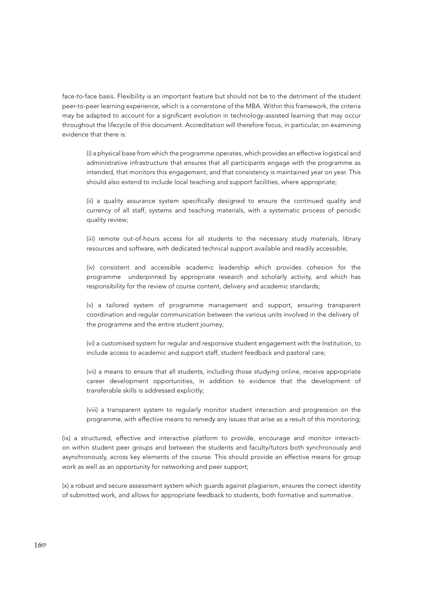face-to-face basis. Flexibility is an important feature but should not be to the detriment of the student peer-to-peer learning experience, which is a cornerstone of the MBA. Within this framework, the criteria may be adapted to account for a significant evolution in technology-assisted learning that may occur throughout the lifecycle of this document. Accreditation will therefore focus, in particular, on examining evidence that there is:

(i) a physical base from which the programme operates, which provides an effective logistical and administrative infrastructure that ensures that all participants engage with the programme as intended, that monitors this engagement, and that consistency is maintained year on year. This should also extend to include local teaching and support facilities, where appropriate;

(ii) a quality assurance system specifically designed to ensure the continued quality and currency of all staff, systems and teaching materials, with a systematic process of periodic quality review;

(iii) remote out-of-hours access for all students to the necessary study materials, library resources and software, with dedicated technical support available and readily accessible;

(iv) consistent and accessible academic leadership which provides cohesion for the programme underpinned by appropriate research and scholarly activity, and which has responsibility for the review of course content, delivery and academic standards;

(v) a tailored system of programme management and support, ensuring transparent coordination and regular communication between the various units involved in the delivery of the programme and the entire student journey;

(vi) a customised system for regular and responsive student engagement with the Institution, to include access to academic and support staff, student feedback and pastoral care;

(vii) a means to ensure that all students, including those studying online, receive appropriate career development opportunities, in addition to evidence that the development of transferable skills is addressed explicitly;

(viii) a transparent system to regularly monitor student interaction and progression on the programme, with effective means to remedy any issues that arise as a result of this monitoring;

(ix) a structured, effective and interactive platform to provide, encourage and monitor interaction within student peer groups and between the students and faculty/tutors both synchronously and asynchronously, across key elements of the course. This should provide an effective means for group work as well as an opportunity for networking and peer support;

(x) a robust and secure assessment system which guards against plagiarism, ensures the correct identity of submitted work, and allows for appropriate feedback to students, both formative and summative.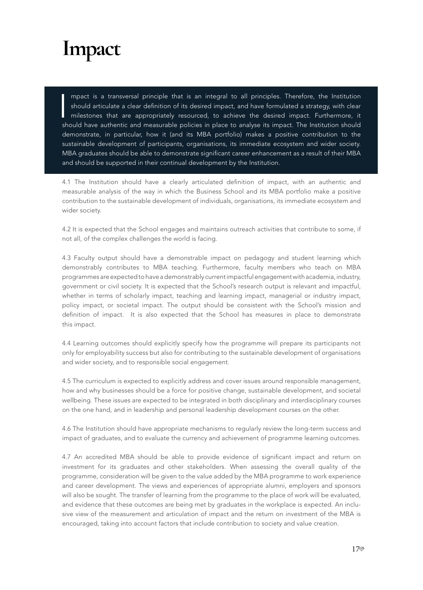#### **Impact**

 $\frac{1}{\sqrt{2}}$ mpact is a transversal principle that is an integral to all principles. Therefore, the Institution should articulate a clear definition of its desired impact, and have formulated a strategy, with clear milestones that are appropriately resourced, to achieve the desired impact. Furthermore, it should have authentic and measurable policies in place to analyse its impact. The Institution should demonstrate, in particular, how it (and its MBA portfolio) makes a positive contribution to the sustainable development of participants, organisations, its immediate ecosystem and wider society. MBA graduates should be able to demonstrate significant career enhancement as a result of their MBA and should be supported in their continual development by the Institution.

4.1 The Institution should have a clearly articulated definition of impact, with an authentic and measurable analysis of the way in which the Business School and its MBA portfolio make a positive contribution to the sustainable development of individuals, organisations, its immediate ecosystem and wider society.

4.2 It is expected that the School engages and maintains outreach activities that contribute to some, if not all, of the complex challenges the world is facing.

4.3 Faculty output should have a demonstrable impact on pedagogy and student learning which demonstrably contributes to MBA teaching. Furthermore, faculty members who teach on MBA programmes are expected to have a demonstrably current impactful engagement with academia, industry, government or civil society. It is expected that the School's research output is relevant and impactful, whether in terms of scholarly impact, teaching and learning impact, managerial or industry impact, policy impact, or societal impact. The output should be consistent with the School's mission and definition of impact. It is also expected that the School has measures in place to demonstrate this impact.

4.4 Learning outcomes should explicitly specify how the programme will prepare its participants not only for employability success but also for contributing to the sustainable development of organisations and wider society, and to responsible social engagement.

4.5 The curriculum is expected to explicitly address and cover issues around responsible management, how and why businesses should be a force for positive change, sustainable development, and societal wellbeing. These issues are expected to be integrated in both disciplinary and interdisciplinary courses on the one hand, and in leadership and personal leadership development courses on the other.

4.6 The Institution should have appropriate mechanisms to regularly review the long-term success and impact of graduates, and to evaluate the currency and achievement of programme learning outcomes.

4.7 An accredited MBA should be able to provide evidence of significant impact and return on investment for its graduates and other stakeholders. When assessing the overall quality of the programme, consideration will be given to the value added by the MBA programme to work experience and career development. The views and experiences of appropriate alumni, employers and sponsors will also be sought. The transfer of learning from the programme to the place of work will be evaluated, and evidence that these outcomes are being met by graduates in the workplace is expected. An inclusive view of the measurement and articulation of impact and the return on investment of the MBA is encouraged, taking into account factors that include contribution to society and value creation.